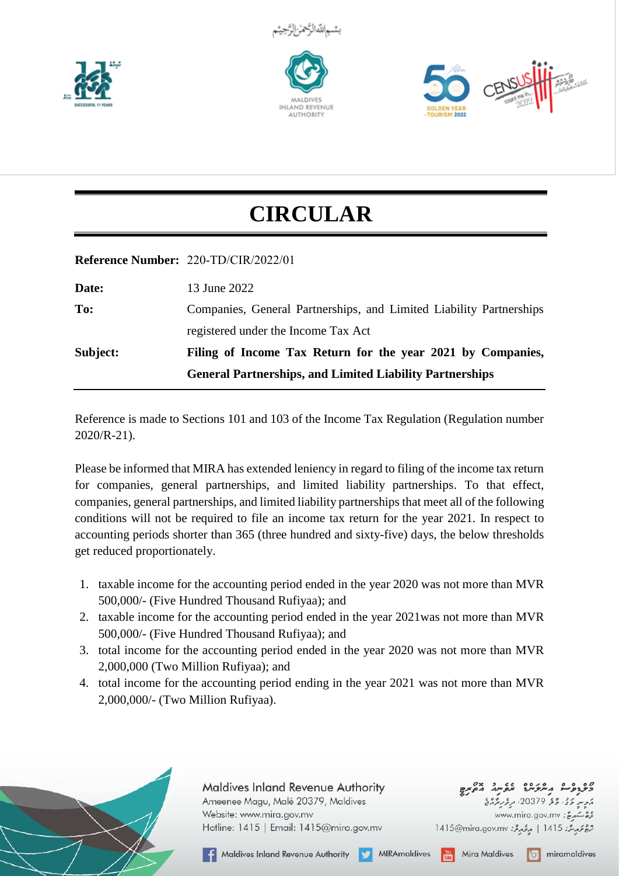







## **CIRCULAR**

## **Reference Number:** *220-TD/CIR/2022/01*

| 13 June 2022                                                        |
|---------------------------------------------------------------------|
| Companies, General Partnerships, and Limited Liability Partnerships |
| registered under the Income Tax Act                                 |
| Filing of Income Tax Return for the year 2021 by Companies,         |
| <b>General Partnerships, and Limited Liability Partnerships</b>     |
|                                                                     |

Reference is made to Sections 101 and 103 of the Income Tax Regulation (Regulation number 2020/R-21).

Please be informed that MIRA has extended leniency in regard to filing of the income tax return for companies, general partnerships, and limited liability partnerships. To that effect, companies, general partnerships, and limited liability partnerships that meet all of the following conditions will not be required to file an income tax return for the year 2021. In respect to accounting periods shorter than 365 (three hundred and sixty-five) days, the below thresholds get reduced proportionately.

- 1. taxable income for the accounting period ended in the year 2020 was not more than MVR 500,000/- (Five Hundred Thousand Rufiyaa); and
- 2. taxable income for the accounting period ended in the year 2021was not more than MVR 500,000/- (Five Hundred Thousand Rufiyaa); and
- 3. total income for the accounting period ended in the year 2020 was not more than MVR 2,000,000 (Two Million Rufiyaa); and
- 4. total income for the accounting period ending in the year 2021 was not more than MVR 2,000,000/- (Two Million Rufiyaa).



**Maldives Inland Revenue Authority** Ameenee Magu, Malé 20379, Maldives Website: www.mira.gov.mv Hotline: 1415 | Email: 1415@mira.gov.mv

**گلولوگ برمرکنا خلومید چیری**<br><sub>موسم</sub> دی دو 20379 برتریزی www.mira.gov.mv : 25

**O** miramaldives

1415@mira.gov.mv | مِرْمِعْ: 1415@mira.gov.mv|